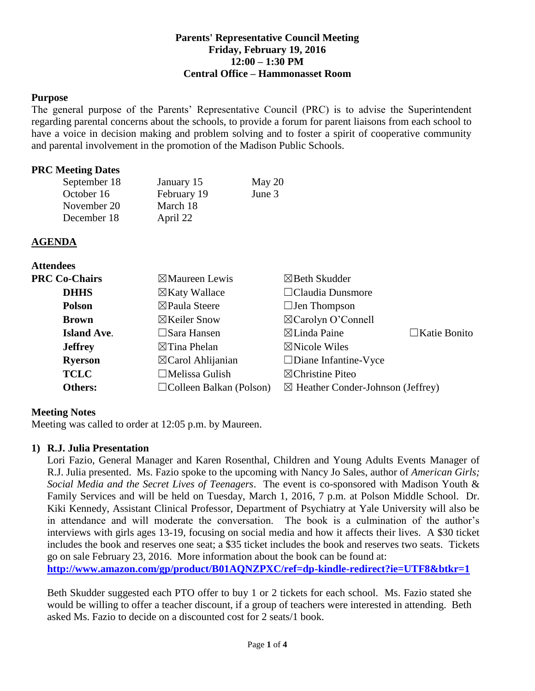## **Parents' Representative Council Meeting Friday, February 19, 2016 12:00 – 1:30 PM Central Office – Hammonasset Room**

#### **Purpose**

The general purpose of the Parents' Representative Council (PRC) is to advise the Superintendent regarding parental concerns about the schools, to provide a forum for parent liaisons from each school to have a voice in decision making and problem solving and to foster a spirit of cooperative community and parental involvement in the promotion of the Madison Public Schools.

#### **PRC Meeting Dates**

| September 18 | January 15  | May $20$ |
|--------------|-------------|----------|
| October 16   | February 19 | June 3   |
| November 20  | March 18    |          |
| December 18  | April 22    |          |

#### **AGENDA**

|      | <b>Attendees</b> |  |
|------|------------------|--|
| -- ~ |                  |  |

| <b>PRC Co-Chairs</b> | $\boxtimes$ Maureen Lewis      | $\boxtimes$ Beth Skudder                     |                     |
|----------------------|--------------------------------|----------------------------------------------|---------------------|
| <b>DHHS</b>          | $\boxtimes$ Katy Wallace       | $\Box$ Claudia Dunsmore                      |                     |
| <b>Polson</b>        | $\boxtimes$ Paula Steere       | $\Box$ Jen Thompson                          |                     |
| <b>Brown</b>         | $\boxtimes$ Keiler Snow        | $\boxtimes$ Carolyn O'Connell                |                     |
| <b>Island Ave.</b>   | $\Box$ Sara Hansen             | $\boxtimes$ Linda Paine                      | $\Box$ Katie Bonito |
| <b>Jeffrey</b>       | $\boxtimes$ Tina Phelan        | $\boxtimes$ Nicole Wiles                     |                     |
| <b>Ryerson</b>       | $\boxtimes$ Carol Ahlijanian   | $\Box$ Diane Infantine-Vyce                  |                     |
| <b>TCLC</b>          | $\Box$ Melissa Gulish          | $\boxtimes$ Christine Piteo                  |                     |
| <b>Others:</b>       | $\Box$ Colleen Balkan (Polson) | $\boxtimes$ Heather Conder-Johnson (Jeffrey) |                     |

### **Meeting Notes**

Meeting was called to order at 12:05 p.m. by Maureen.

### **1) R.J. Julia Presentation**

Lori Fazio, General Manager and Karen Rosenthal, Children and Young Adults Events Manager of R.J. Julia presented. Ms. Fazio spoke to the upcoming with Nancy Jo Sales, author of *American Girls; Social Media and the Secret Lives of Teenagers*. The event is co-sponsored with Madison Youth & Family Services and will be held on Tuesday, March 1, 2016, 7 p.m. at Polson Middle School. Dr. Kiki Kennedy, Assistant Clinical Professor, Department of Psychiatry at Yale University will also be in attendance and will moderate the conversation. The book is a culmination of the author's interviews with girls ages 13-19, focusing on social media and how it affects their lives. A \$30 ticket includes the book and reserves one seat; a \$35 ticket includes the book and reserves two seats. Tickets go on sale February 23, 2016. More information about the book can be found at:

**<http://www.amazon.com/gp/product/B01AQNZPXC/ref=dp-kindle-redirect?ie=UTF8&btkr=1>**

Beth Skudder suggested each PTO offer to buy 1 or 2 tickets for each school. Ms. Fazio stated she would be willing to offer a teacher discount, if a group of teachers were interested in attending. Beth asked Ms. Fazio to decide on a discounted cost for 2 seats/1 book.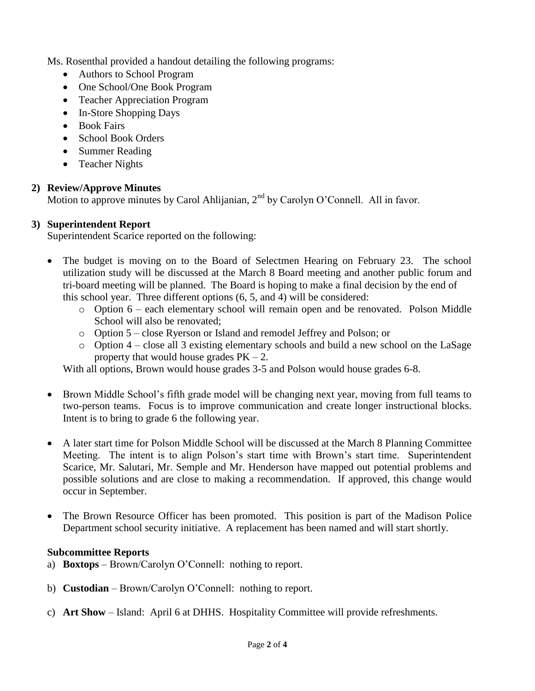Ms. Rosenthal provided a handout detailing the following programs:

- Authors to School Program
- One School/One Book Program
- Teacher Appreciation Program
- In-Store Shopping Days
- Book Fairs
- School Book Orders
- Summer Reading
- Teacher Nights

# **2) Review/Approve Minutes**

Motion to approve minutes by Carol Ahlijanian, 2<sup>nd</sup> by Carolyn O'Connell. All in favor.

# **3) Superintendent Report**

Superintendent Scarice reported on the following:

- The budget is moving on to the Board of Selectmen Hearing on February 23. The school utilization study will be discussed at the March 8 Board meeting and another public forum and tri-board meeting will be planned. The Board is hoping to make a final decision by the end of this school year. Three different options (6, 5, and 4) will be considered:
	- o Option 6 each elementary school will remain open and be renovated. Polson Middle School will also be renovated;
	- o Option 5 close Ryerson or Island and remodel Jeffrey and Polson; or
	- o Option 4 close all 3 existing elementary schools and build a new school on the LaSage property that would house grades  $PK - 2$ .

With all options, Brown would house grades 3-5 and Polson would house grades 6-8.

- Brown Middle School's fifth grade model will be changing next year, moving from full teams to two-person teams. Focus is to improve communication and create longer instructional blocks. Intent is to bring to grade 6 the following year.
- A later start time for Polson Middle School will be discussed at the March 8 Planning Committee Meeting. The intent is to align Polson's start time with Brown's start time. Superintendent Scarice, Mr. Salutari, Mr. Semple and Mr. Henderson have mapped out potential problems and possible solutions and are close to making a recommendation. If approved, this change would occur in September.
- The Brown Resource Officer has been promoted. This position is part of the Madison Police Department school security initiative. A replacement has been named and will start shortly.

## **Subcommittee Reports**

- a) **Boxtops** Brown/Carolyn O'Connell: nothing to report.
- b) **Custodian** Brown/Carolyn O'Connell: nothing to report.
- c) **Art Show** Island: April 6 at DHHS. Hospitality Committee will provide refreshments.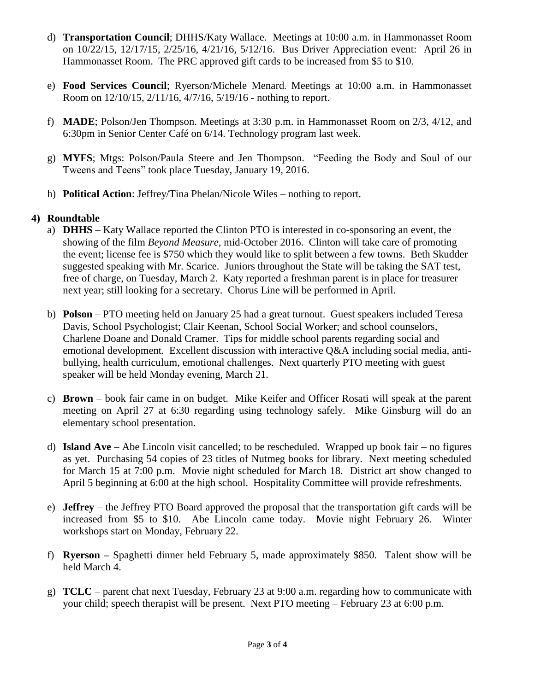- d) **Transportation Council**; DHHS/Katy Wallace. Meetings at 10:00 a.m. in Hammonasset Room on 10/22/15, 12/17/15, 2/25/16, 4/21/16, 5/12/16. Bus Driver Appreciation event: April 26 in Hammonasset Room. The PRC approved gift cards to be increased from \$5 to \$10.
- e) **Food Services Council**; Ryerson/Michele Menard. Meetings at 10:00 a.m. in Hammonasset Room on 12/10/15, 2/11/16, 4/7/16, 5/19/16 - nothing to report.
- f) **MADE**; Polson/Jen Thompson. Meetings at 3:30 p.m. in Hammonasset Room on 2/3, 4/12, and 6:30pm in Senior Center Café on 6/14. Technology program last week.
- g) **MYFS**; Mtgs: Polson/Paula Steere and Jen Thompson. "Feeding the Body and Soul of our Tweens and Teens" took place Tuesday, January 19, 2016.
- h) **Political Action**: Jeffrey/Tina Phelan/Nicole Wiles nothing to report.

# **4) Roundtable**

- a) **DHHS** Katy Wallace reported the Clinton PTO is interested in co-sponsoring an event, the showing of the film *Beyond Measure,* mid-October 2016. Clinton will take care of promoting the event; license fee is \$750 which they would like to split between a few towns. Beth Skudder suggested speaking with Mr. Scarice. Juniors throughout the State will be taking the SAT test, free of charge, on Tuesday, March 2. Katy reported a freshman parent is in place for treasurer next year; still looking for a secretary. Chorus Line will be performed in April.
- b) **Polson** PTO meeting held on January 25 had a great turnout. Guest speakers included Teresa Davis, School Psychologist; Clair Keenan, School Social Worker; and school counselors, Charlene Doane and Donald Cramer. Tips for middle school parents regarding social and emotional development. Excellent discussion with interactive Q&A including social media, antibullying, health curriculum, emotional challenges. Next quarterly PTO meeting with guest speaker will be held Monday evening, March 21.
- c) **Brown** book fair came in on budget. Mike Keifer and Officer Rosati will speak at the parent meeting on April 27 at 6:30 regarding using technology safely. Mike Ginsburg will do an elementary school presentation.
- d) **Island Ave**  Abe Lincoln visit cancelled; to be rescheduled. Wrapped up book fair no figures as yet. Purchasing 54 copies of 23 titles of Nutmeg books for library. Next meeting scheduled for March 15 at 7:00 p.m. Movie night scheduled for March 18. District art show changed to April 5 beginning at 6:00 at the high school. Hospitality Committee will provide refreshments.
- e) **Jeffrey** the Jeffrey PTO Board approved the proposal that the transportation gift cards will be increased from \$5 to \$10. Abe Lincoln came today. Movie night February 26. Winter workshops start on Monday, February 22.
- f) **Ryerson –** Spaghetti dinner held February 5, made approximately \$850. Talent show will be held March 4.
- g) **TCLC**  parent chat next Tuesday, February 23 at 9:00 a.m. regarding how to communicate with your child; speech therapist will be present. Next PTO meeting – February 23 at 6:00 p.m.